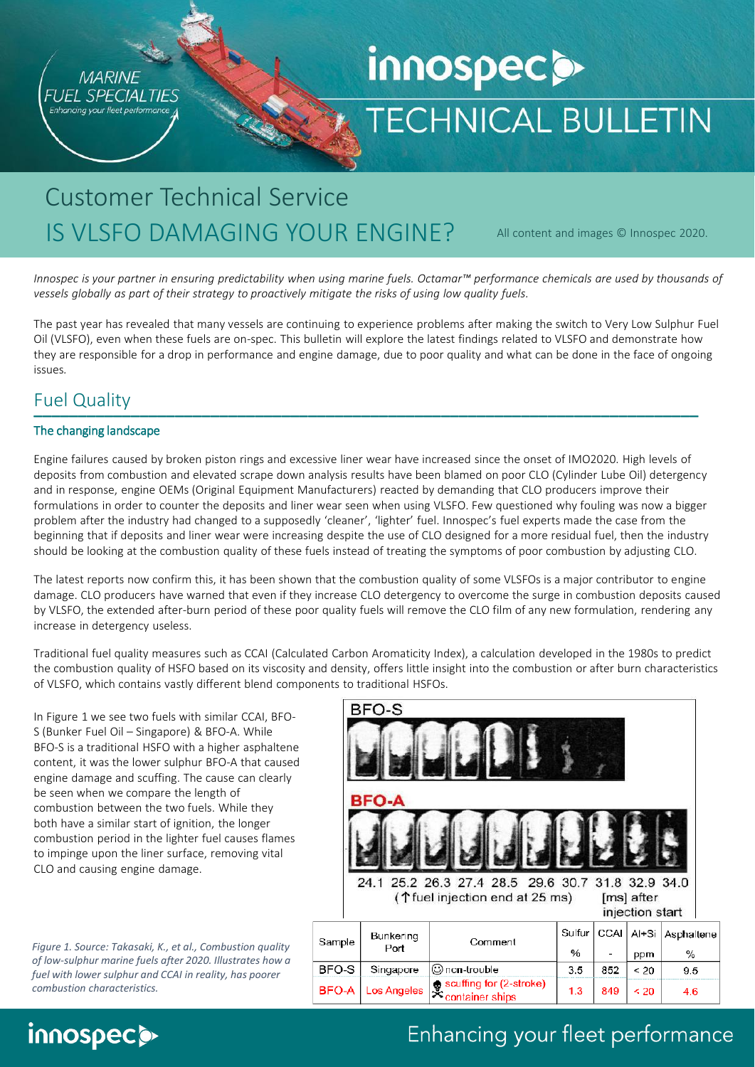

# innospec **o TECHNICAL BULLETIN**

# Customer Technical Service IS VLSFO DAMAGING YOUR ENGINE?

All content and images © Innospec 2020.

*Innospec is your partner in ensuring predictability when using marine fuels. Octamar™ performance chemicals are used by thousands of vessels globally as part of their strategy to proactively mitigate the risks of using low quality fuels.*

The past year has revealed that many vessels are continuing to experience problems after making the switch to Very Low Sulphur Fuel Oil (VLSFO), even when these fuels are on-spec. This bulletin will explore the latest findings related to VLSFO and demonstrate how they are responsible for a drop in performance and engine damage, due to poor quality and what can be done in the face of ongoing issues*.*

#### Fuel Quality **\_\_\_\_\_\_\_\_\_\_\_\_\_\_\_\_\_\_\_\_\_\_\_\_\_\_\_\_\_\_\_\_\_\_\_\_\_\_\_\_\_\_\_\_\_\_\_\_\_\_\_\_\_\_\_\_\_\_\_\_\_\_\_\_\_\_\_\_\_\_\_\_\_\_\_**

#### The changing landscape

Engine failures caused by broken piston rings and excessive liner wear have increased since the onset of IMO2020. High levels of deposits from combustion and elevated scrape down analysis results have been blamed on poor CLO (Cylinder Lube Oil) detergency and in response, engine OEMs (Original Equipment Manufacturers) reacted by demanding that CLO producers improve their formulations in order to counter the deposits and liner wear seen when using VLSFO. Few questioned why fouling was now a bigger problem after the industry had changed to a supposedly 'cleaner', 'lighter' fuel. Innospec's fuel experts made the case from the beginning that if deposits and liner wear were increasing despite the use of CLO designed for a more residual fuel, then the industry should be looking at the combustion quality of these fuels instead of treating the symptoms of poor combustion by adjusting CLO.

The latest reports now confirm this, it has been shown that the combustion quality of some VLSFOs is a major contributor to engine damage. CLO producers have warned that even if they increase CLO detergency to overcome the surge in combustion deposits caused by VLSFO, the extended after-burn period of these poor quality fuels will remove the CLO film of any new formulation, rendering any increase in detergency useless.

Traditional fuel quality measures such as CCAI (Calculated Carbon Aromaticity Index), a calculation developed in the 1980s to predict the combustion quality of HSFO based on its viscosity and density, offers little insight into the combustion or after burn characteristics of VLSFO, which contains vastly different blend components to traditional HSFOs.

In Figure 1 we see two fuels with similar CCAI, BFO-S (Bunker Fuel Oil – Singapore) & BFO-A. While BFO-S is a traditional HSFO with a higher asphaltene content, it was the lower sulphur BFO-A that caused engine damage and scuffing. The cause can clearly be seen when we compare the length of combustion between the two fuels. While they both have a similar start of ignition, the longer combustion period in the lighter fuel causes flames to impinge upon the liner surface, removing vital CLO and causing engine damage.

*Figure 1. Source: Takasaki, K., et al., Combustion quality of low-sulphur marine fuels after 2020. Illustrates how a fuel with lower sulphur and CCAI in reality, has poorer combustion characteristics.* 

|        |                                                                                                                                 | BFO-S<br><b>BFO-A</b>    |                                                           |             |             |                |                 |
|--------|---------------------------------------------------------------------------------------------------------------------------------|--------------------------|-----------------------------------------------------------|-------------|-------------|----------------|-----------------|
|        |                                                                                                                                 |                          |                                                           |             |             |                |                 |
|        | 24.1 25.2 26.3 27.4 28.5 29.6 30.7 31.8 32.9 34.0<br>( $\uparrow$ fuel injection end at 25 ms)<br>[ms] after<br>injection start |                          |                                                           |             |             |                |                 |
| Sample |                                                                                                                                 | <b>Bunkering</b><br>Port | Comment                                                   | Sulfur<br>% | <b>CCAI</b> | $Al+Si$<br>ppm | Asphaltene<br>% |
| BFO-S  |                                                                                                                                 | Singapore                | ⊙ non-trouble                                             | 3.5         | 852         | < 20           | 9.5             |
| BFO-A  |                                                                                                                                 | Los Angeles              | ⊕ scuffing for (2-stroke)<br><sup>≫</sup> container ships | 1.3         | 849         | $\leq 20$      | 4.6             |

# innospec<sup>®</sup>

# Enhancing your fleet performance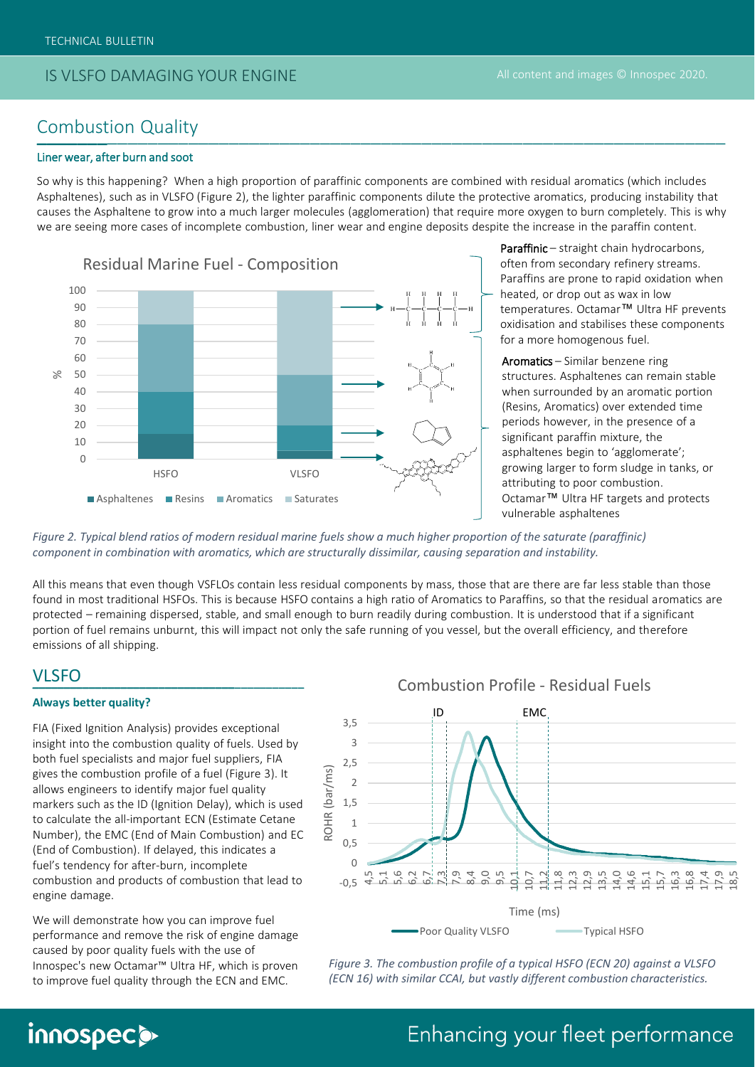#### IS VLSFO DAMAGING YOUR ENGINE

#### Combustion Quality \_\_\_\_\_\_\_\_\_\_\_\_\_\_\_\_\_\_\_\_\_\_\_\_\_\_\_\_\_\_\_\_\_\_\_\_\_\_\_\_\_\_\_\_\_\_\_\_\_\_\_\_\_\_\_\_\_\_\_\_\_\_\_\_\_\_\_\_ \_\_\_\_\_\_\_

#### Liner wear, after burn and soot

So why is this happening? When a high proportion of paraffinic components are combined with residual aromatics (which includes Asphaltenes), such as in VLSFO (Figure 2), the lighter paraffinic components dilute the protective aromatics, producing instability that causes the Asphaltene to grow into a much larger molecules (agglomeration) that require more oxygen to burn completely. This is why we are seeing more cases of incomplete combustion, liner wear and engine deposits despite the increase in the paraffin content.



Paraffinic – straight chain hydrocarbons, often from secondary refinery streams. Paraffins are prone to rapid oxidation when heated, or drop out as wax in low temperatures. Octamar™ Ultra HF prevents oxidisation and stabilises these components for a more homogenous fuel.

Aromatics – Similar benzene ring structures. Asphaltenes can remain stable when surrounded by an aromatic portion (Resins, Aromatics) over extended time periods however, in the presence of a significant paraffin mixture, the asphaltenes begin to 'agglomerate'; growing larger to form sludge in tanks, or attributing to poor combustion. Octamar™ Ultra HF targets and protects vulnerable asphaltenes

*Figure 2. Typical blend ratios of modern residual marine fuels show a much higher proportion of the saturate (paraffinic) component in combination with aromatics, which are structurally dissimilar, causing separation and instability.*

All this means that even though VSFLOs contain less residual components by mass, those that are there are far less stable than those found in most traditional HSFOs. This is because HSFO contains a high ratio of Aromatics to Paraffins, so that the residual aromatics are protected – remaining dispersed, stable, and small enough to burn readily during combustion. It is understood that if a significant portion of fuel remains unburnt, this will impact not only the safe running of you vessel, but the overall efficiency, and therefore emissions of all shipping.

### VLSFO **\_\_\_\_\_\_\_\_\_\_\_\_\_\_\_\_\_\_\_\_\_\_\_\_\_\_\_\_\_\_\_\_\_\_\_\_\_\_\_\_\_\_\_ \_\_\_\_\_\_\_\_\_\_\_\_\_\_\_\_\_\_\_\_\_\_\_\_\_\_\_\_\_\_\_\_**

#### **Always better quality?**

innospec@

FIA (Fixed Ignition Analysis) provides exceptional insight into the combustion quality of fuels. Used by both fuel specialists and major fuel suppliers, FIA gives the combustion profile of a fuel (Figure 3). It allows engineers to identify major fuel quality markers such as the ID (Ignition Delay), which is used to calculate the all-important ECN (Estimate Cetane Number), the EMC (End of Main Combustion) and EC (End of Combustion). If delayed, this indicates a fuel's tendency for after-burn, incomplete combustion and products of combustion that lead to engine damage.

We will demonstrate how you can improve fuel performance and remove the risk of engine damage caused by poor quality fuels with the use of Innospec's new Octamar™ Ultra HF, which is proven to improve fuel quality through the ECN and EMC.



*Figure 3. The combustion profile of a typical HSFO (ECN 20) against a VLSFO (ECN 16) with similar CCAI, but vastly different combustion characteristics.*

#### Combustion Profile - Residual Fuels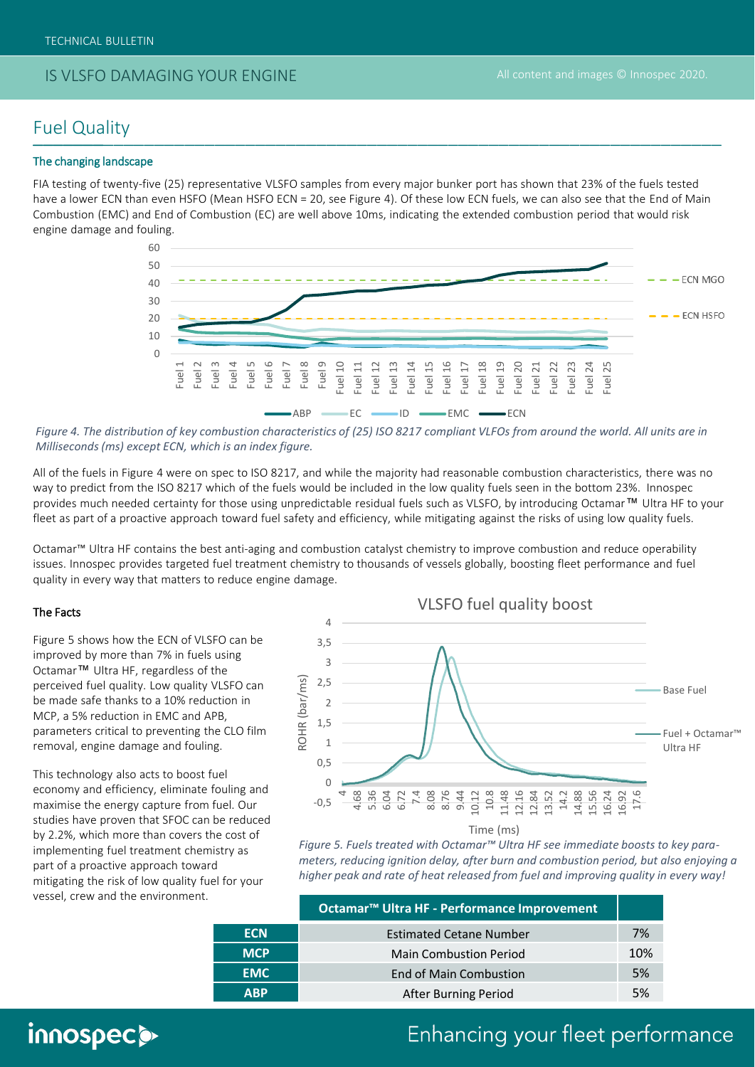#### IS VLSFO DAMAGING YOUR ENGINE

#### Fuel Quality \_\_\_\_\_\_\_\_\_\_\_\_\_\_\_\_\_\_\_\_\_\_\_\_\_\_\_\_\_\_\_\_\_\_\_\_\_\_\_\_\_\_\_\_\_\_\_\_\_\_\_\_\_\_\_\_\_\_\_\_\_\_\_\_\_\_\_\_ \_\_\_\_\_\_\_

#### The changing landscape

FIA testing of twenty-five (25) representative VLSFO samples from every major bunker port has shown that 23% of the fuels tested have a lower ECN than even HSFO (Mean HSFO ECN = 20, see Figure 4). Of these low ECN fuels, we can also see that the End of Main Combustion (EMC) and End of Combustion (EC) are well above 10ms, indicating the extended combustion period that would risk engine damage and fouling.



*Figure 4. The distribution of key combustion characteristics of (25) ISO 8217 compliant VLFOs from around the world. All units are in Milliseconds (ms) except ECN, which is an index figure.* 

All of the fuels in Figure 4 were on spec to ISO 8217, and while the majority had reasonable combustion characteristics, there was no way to predict from the ISO 8217 which of the fuels would be included in the low quality fuels seen in the bottom 23%. Innospec provides much needed certainty for those using unpredictable residual fuels such as VLSFO, by introducing Octamar™ Ultra HF to your fleet as part of a proactive approach toward fuel safety and efficiency, while mitigating against the risks of using low quality fuels.

Octamar™ Ultra HF contains the best anti-aging and combustion catalyst chemistry to improve combustion and reduce operability issues. Innospec provides targeted fuel treatment chemistry to thousands of vessels globally, boosting fleet performance and fuel quality in every way that matters to reduce engine damage.

#### The Facts

Figure 5 shows how the ECN of VLSFO can be improved by more than 7% in fuels using Octamar™ Ultra HF, regardless of the perceived fuel quality. Low quality VLSFO can be made safe thanks to a 10% reduction in MCP, a 5% reduction in EMC and APB, parameters critical to preventing the CLO film removal, engine damage and fouling.

This technology also acts to boost fuel economy and efficiency, eliminate fouling and maximise the energy capture from fuel. Our studies have proven that SFOC can be reduced by 2.2%, which more than covers the cost of implementing fuel treatment chemistry as part of a proactive approach toward mitigating the risk of low quality fuel for your vessel, crew and the environment.



*Figure 5. Fuels treated with Octamar™ Ultra HF see immediate boosts to key parameters, reducing ignition delay, after burn and combustion period, but also enjoying a higher peak and rate of heat released from fuel and improving quality in every way!*

|            | Octamar <sup>™</sup> Ultra HF - Performance Improvement |     |
|------------|---------------------------------------------------------|-----|
| <b>ECN</b> | <b>Estimated Cetane Number</b>                          | 7%  |
| <b>MCP</b> | <b>Main Combustion Period</b>                           | 10% |
| <b>EMC</b> | <b>End of Main Combustion</b>                           | 5%  |
| <b>ABP</b> | After Burning Period                                    | 5%  |

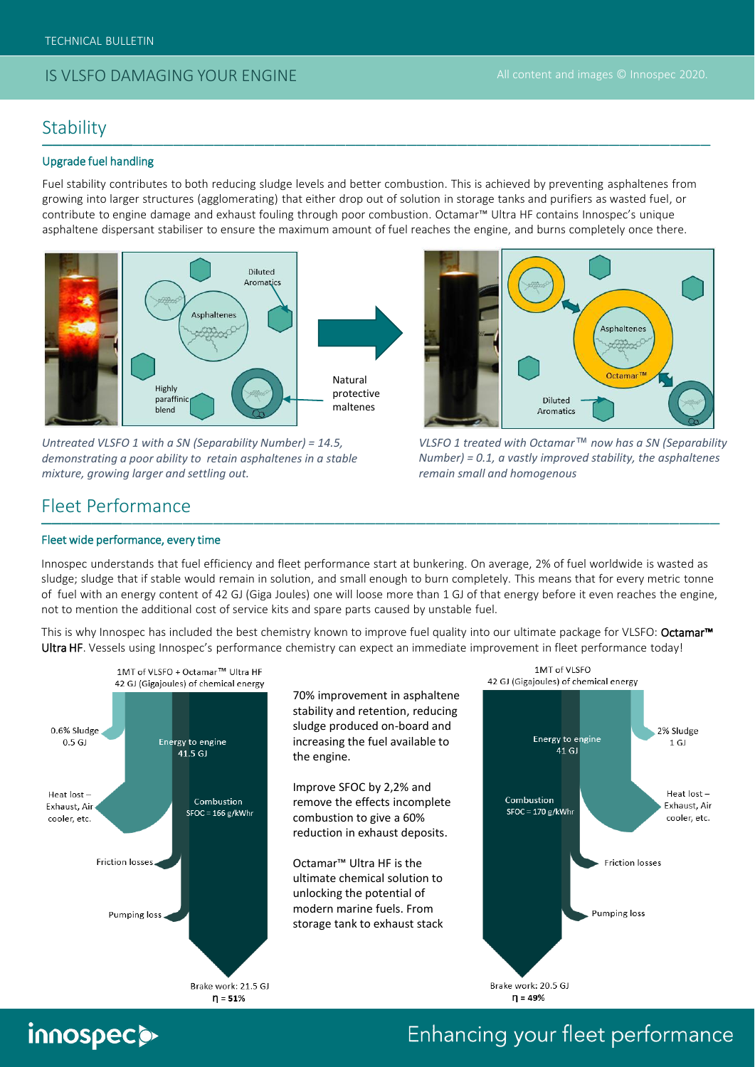### IS VLSFO DAMAGING YOUR ENGINE

#### **Stability** \_\_\_\_\_\_\_\_\_\_\_\_\_\_\_\_\_\_\_\_\_\_\_\_\_\_\_\_\_\_\_\_\_\_\_\_\_\_\_\_\_\_\_\_\_\_\_\_\_\_\_\_\_\_\_\_\_\_\_\_\_\_\_\_\_\_ \_\_\_\_\_\_\_\_\_

#### Upgrade fuel handling

Fuel stability contributes to both reducing sludge levels and better combustion. This is achieved by preventing asphaltenes from growing into larger structures (agglomerating) that either drop out of solution in storage tanks and purifiers as wasted fuel, or contribute to engine damage and exhaust fouling through poor combustion. Octamar™ Ultra HF contains Innospec's unique asphaltene dispersant stabiliser to ensure the maximum amount of fuel reaches the engine, and burns completely once there.



*Untreated VLSFO 1 with a SN (Separability Number) = 14.5, demonstrating a poor ability to retain asphaltenes in a stable mixture, growing larger and settling out.*



*VLSFO 1 treated with Octamar™ now has a SN (Separability Number) = 0.1, a vastly improved stability, the asphaltenes remain small and homogenous*

#### Fleet Performance \_\_\_\_\_\_\_\_\_\_\_\_\_\_\_\_\_\_\_\_\_\_\_\_\_\_\_\_\_\_\_\_\_\_\_\_\_\_\_\_\_\_\_\_\_\_\_\_\_\_\_\_\_\_\_\_\_\_\_\_\_\_\_\_\_\_\_ \_\_\_\_\_\_\_\_

#### Fleet wide performance, every time

Innospec understands that fuel efficiency and fleet performance start at bunkering. On average, 2% of fuel worldwide is wasted as sludge; sludge that if stable would remain in solution, and small enough to burn completely. This means that for every metric tonne of fuel with an energy content of 42 GJ (Giga Joules) one will loose more than 1 GJ of that energy before it even reaches the engine, not to mention the additional cost of service kits and spare parts caused by unstable fuel.

This is why Innospec has included the best chemistry known to improve fuel quality into our ultimate package for VLSFO: Octamar<sup>™</sup> Ultra HF. Vessels using Innospec's performance chemistry can expect an immediate improvement in fleet performance today!



70% improvement in asphaltene stability and retention, reducing sludge produced on-board and increasing the fuel available to the engine.

Improve SFOC by 2,2% and remove the effects incomplete combustion to give a 60% reduction in exhaust deposits.

Octamar™ Ultra HF is the ultimate chemical solution to unlocking the potential of modern marine fuels. From storage tank to exhaust stack

 $n = 51%$ 



# innospec